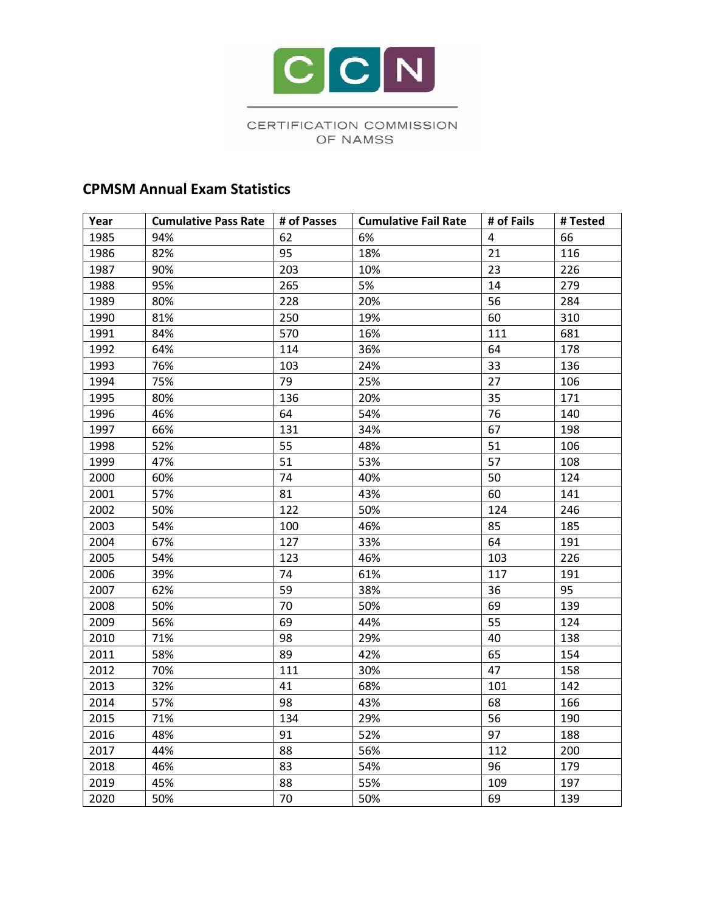

## CERTIFICATION COMMISSION OF NAMSS

## **CPMSM Annual Exam Statistics**

| Year | <b>Cumulative Pass Rate</b> | # of Passes | <b>Cumulative Fail Rate</b> | # of Fails | # Tested |
|------|-----------------------------|-------------|-----------------------------|------------|----------|
| 1985 | 94%                         | 62          | 6%                          | 4          | 66       |
| 1986 | 82%                         | 95          | 18%                         | 21         | 116      |
| 1987 | 90%                         | 203         | 10%                         | 23         | 226      |
| 1988 | 95%                         | 265         | 5%                          | 14         | 279      |
| 1989 | 80%                         | 228         | 20%                         | 56         | 284      |
| 1990 | 81%                         | 250         | 19%                         | 60         | 310      |
| 1991 | 84%                         | 570         | 16%                         | 111        | 681      |
| 1992 | 64%                         | 114         | 36%                         | 64         | 178      |
| 1993 | 76%                         | 103         | 24%                         | 33         | 136      |
| 1994 | 75%                         | 79          | 25%                         | 27         | 106      |
| 1995 | 80%                         | 136         | 20%                         | 35         | 171      |
| 1996 | 46%                         | 64          | 54%                         | 76         | 140      |
| 1997 | 66%                         | 131         | 34%                         | 67         | 198      |
| 1998 | 52%                         | 55          | 48%                         | 51         | 106      |
| 1999 | 47%                         | 51          | 53%                         | 57         | 108      |
| 2000 | 60%                         | 74          | 40%                         | 50         | 124      |
| 2001 | 57%                         | 81          | 43%                         | 60         | 141      |
| 2002 | 50%                         | 122         | 50%                         | 124        | 246      |
| 2003 | 54%                         | 100         | 46%                         | 85         | 185      |
| 2004 | 67%                         | 127         | 33%                         | 64         | 191      |
| 2005 | 54%                         | 123         | 46%                         | 103        | 226      |
| 2006 | 39%                         | 74          | 61%                         | 117        | 191      |
| 2007 | 62%                         | 59          | 38%                         | 36         | 95       |
| 2008 | 50%                         | 70          | 50%                         | 69         | 139      |
| 2009 | 56%                         | 69          | 44%                         | 55         | 124      |
| 2010 | 71%                         | 98          | 29%                         | 40         | 138      |
| 2011 | 58%                         | 89          | 42%                         | 65         | 154      |
| 2012 | 70%                         | 111         | 30%                         | 47         | 158      |
| 2013 | 32%                         | 41          | 68%                         | 101        | 142      |
| 2014 | 57%                         | 98          | 43%                         | 68         | 166      |
| 2015 | 71%                         | 134         | 29%                         | 56         | 190      |
| 2016 | 48%                         | 91          | 52%                         | 97         | 188      |
| 2017 | 44%                         | 88          | 56%                         | 112        | 200      |
| 2018 | 46%                         | 83          | 54%                         | 96         | 179      |
| 2019 | 45%                         | 88          | 55%                         | 109        | 197      |
| 2020 | 50%                         | 70          | 50%                         | 69         | 139      |